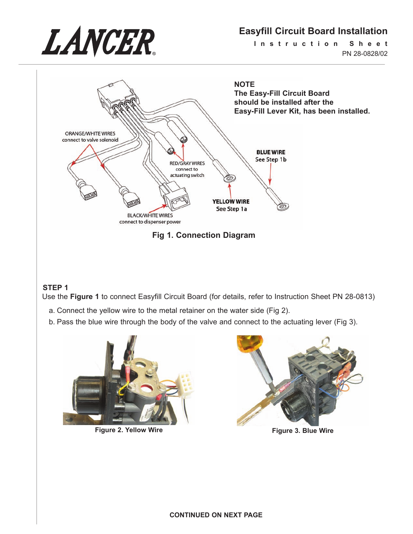

# **Easyfill Circuit Board Installation**

**I n s t r u c t i o n S h e e t** PN 28-0828/02



**Fig 1. Connection Diagram**

### **STEP 1**

Use the **Figure 1** to connect Easyfill Circuit Board (for details, refer to Instruction Sheet PN 28-0813)

- a. Connect the yellow wire to the metal retainer on the water side (Fig 2).
- b. Pass the blue wire through the body of the valve and connect to the actuating lever (Fig 3).



**Figure 2. Yellow Wire Figure 3. Blue Wire**